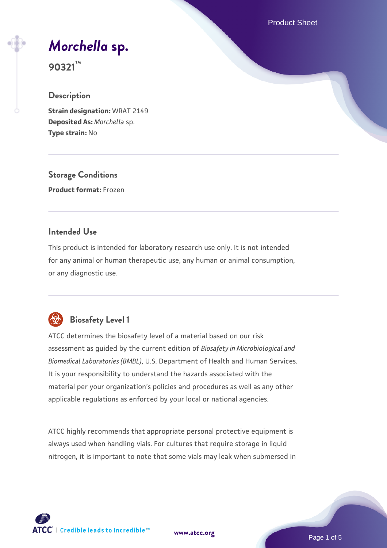Product Sheet

# *[Morchella](https://www.atcc.org/products/90321)* **[sp.](https://www.atcc.org/products/90321)**

**90321™**

## **Description**

**Strain designation:** WRAT 2149 **Deposited As:** *Morchella* sp. **Type strain:** No

**Storage Conditions Product format:** Frozen

#### **Intended Use**

This product is intended for laboratory research use only. It is not intended for any animal or human therapeutic use, any human or animal consumption, or any diagnostic use.



# **Biosafety Level 1**

ATCC determines the biosafety level of a material based on our risk assessment as guided by the current edition of *Biosafety in Microbiological and Biomedical Laboratories (BMBL)*, U.S. Department of Health and Human Services. It is your responsibility to understand the hazards associated with the material per your organization's policies and procedures as well as any other applicable regulations as enforced by your local or national agencies.

ATCC highly recommends that appropriate personal protective equipment is always used when handling vials. For cultures that require storage in liquid nitrogen, it is important to note that some vials may leak when submersed in

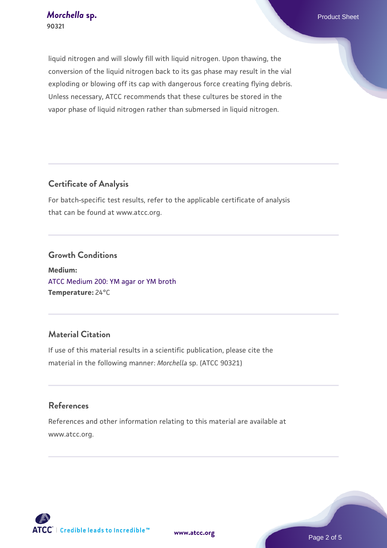liquid nitrogen and will slowly fill with liquid nitrogen. Upon thawing, the conversion of the liquid nitrogen back to its gas phase may result in the vial exploding or blowing off its cap with dangerous force creating flying debris. Unless necessary, ATCC recommends that these cultures be stored in the vapor phase of liquid nitrogen rather than submersed in liquid nitrogen.

# **Certificate of Analysis**

For batch-specific test results, refer to the applicable certificate of analysis that can be found at www.atcc.org.

#### **Growth Conditions**

**Medium:**  [ATCC Medium 200: YM agar or YM broth](https://www.atcc.org/-/media/product-assets/documents/microbial-media-formulations/2/0/0/atcc-medium-200.pdf?rev=ac40fd74dc13433a809367b0b9da30fc) **Temperature:** 24°C

## **Material Citation**

If use of this material results in a scientific publication, please cite the material in the following manner: *Morchella* sp. (ATCC 90321)

## **References**

References and other information relating to this material are available at www.atcc.org.

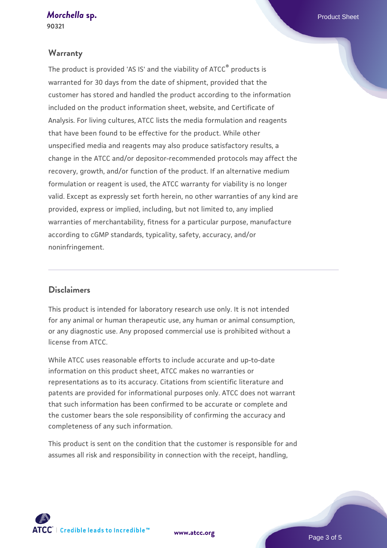#### *[Morchella](https://www.atcc.org/products/90321)* [sp.](https://www.atcc.org/products/90321) **Product Sheet**

**90321**

#### **Warranty**

The product is provided 'AS IS' and the viability of ATCC® products is warranted for 30 days from the date of shipment, provided that the customer has stored and handled the product according to the information included on the product information sheet, website, and Certificate of Analysis. For living cultures, ATCC lists the media formulation and reagents that have been found to be effective for the product. While other unspecified media and reagents may also produce satisfactory results, a change in the ATCC and/or depositor-recommended protocols may affect the recovery, growth, and/or function of the product. If an alternative medium formulation or reagent is used, the ATCC warranty for viability is no longer valid. Except as expressly set forth herein, no other warranties of any kind are provided, express or implied, including, but not limited to, any implied warranties of merchantability, fitness for a particular purpose, manufacture according to cGMP standards, typicality, safety, accuracy, and/or noninfringement.

#### **Disclaimers**

This product is intended for laboratory research use only. It is not intended for any animal or human therapeutic use, any human or animal consumption, or any diagnostic use. Any proposed commercial use is prohibited without a license from ATCC.

While ATCC uses reasonable efforts to include accurate and up-to-date information on this product sheet, ATCC makes no warranties or representations as to its accuracy. Citations from scientific literature and patents are provided for informational purposes only. ATCC does not warrant that such information has been confirmed to be accurate or complete and the customer bears the sole responsibility of confirming the accuracy and completeness of any such information.

This product is sent on the condition that the customer is responsible for and assumes all risk and responsibility in connection with the receipt, handling,

**[www.atcc.org](http://www.atcc.org)**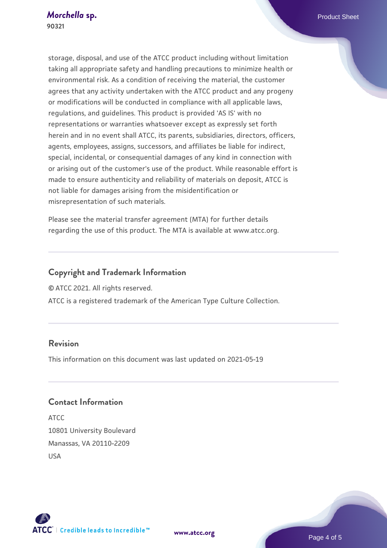storage, disposal, and use of the ATCC product including without limitation taking all appropriate safety and handling precautions to minimize health or environmental risk. As a condition of receiving the material, the customer agrees that any activity undertaken with the ATCC product and any progeny or modifications will be conducted in compliance with all applicable laws, regulations, and guidelines. This product is provided 'AS IS' with no representations or warranties whatsoever except as expressly set forth herein and in no event shall ATCC, its parents, subsidiaries, directors, officers, agents, employees, assigns, successors, and affiliates be liable for indirect, special, incidental, or consequential damages of any kind in connection with or arising out of the customer's use of the product. While reasonable effort is made to ensure authenticity and reliability of materials on deposit, ATCC is not liable for damages arising from the misidentification or misrepresentation of such materials.

Please see the material transfer agreement (MTA) for further details regarding the use of this product. The MTA is available at www.atcc.org.

# **Copyright and Trademark Information**

© ATCC 2021. All rights reserved.

ATCC is a registered trademark of the American Type Culture Collection.

#### **Revision**

This information on this document was last updated on 2021-05-19

# **Contact Information**

ATCC 10801 University Boulevard Manassas, VA 20110-2209 USA